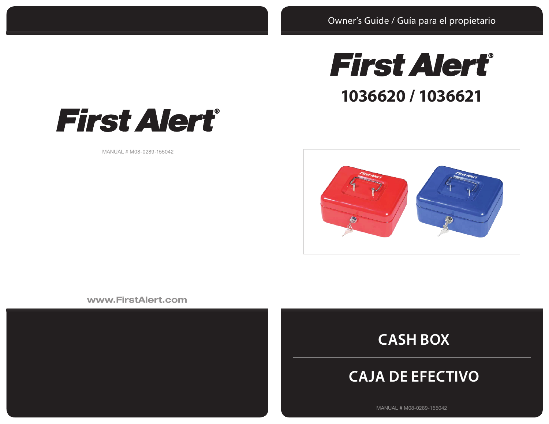



MANUAL # M08-0289-155042



www.FirstAlert.com





# **CAJA DE EFECTIVO**

MANUAL # M08-0289-155042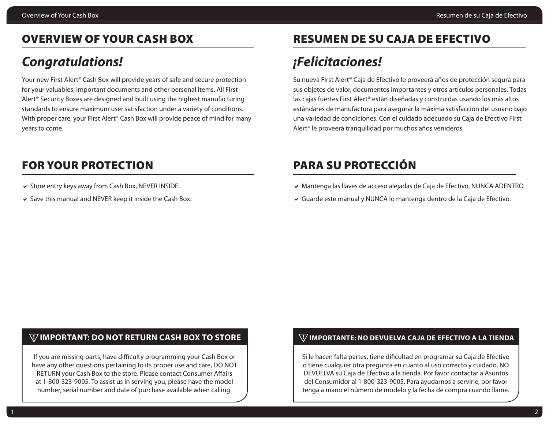### OVERVIEW OF YOUR CASH BOX

# *Congratulations!*

Your new First Alert® Cash Box will provide years of safe and secure protection for your valuables, important documents and other personal items. All First Alert® Security Boxes are designed and built using the highest manufacturing standards to ensure maximum user satisfaction under a variety of conditions. With proper care, your First Alert<sup>®</sup> Cash Box will provide peace of mind for many years to come.

### FOR YOUR PROTECTION

- $\vee$  Store entry keys away from Cash Box, NEVER INSIDE.
- $\vee$  Save this manual and NEVER keep it inside the Cash Box.

# RESUMEN DE SU CAJA DE EFECTIVO

# *¡Felicitaciones!*

Su nueva First Alert® Caja de Efectivo le proveerá años de protección segura para sus objetos de valor, documentos importantes y otros artículos personales. Todas las cajas fuertes First Alert® están diseñadas y construidas usando los más altos estándares de manufactura para asegurar la máxima satisfacción del usuario bajo una variedad de condiciones. Con el cuidado adecuado su Caja de Efectivo First Alert® le proveerá tranquilidad por muchos años venideros.

## PARA SU PROTECCIÓN

- a Mantenga las llaves de acceso alejadas de Caja de Efectivo, NUNCA ADENTRO.
- $\vee$  Guarde este manual y NUNCA lo mantenga dentro de la Caja de Efectivo.

### **IMPORTANT: DO NOT RETURN CASH BOX TO STORE**

If you are missing parts, have difficulty programming your Cash Box or have any other questions pertaining to its proper use and care, DO NOT RETURN your Cash Box to the store. Please contact Consumer Affairs at 1-800-323-9005. To assist us in serving you, please have the model number, serial number and date of purchase available when calling.

### **IMPORTANTE: NO DEVUELVA CAJA DE EFECTIVO A LA TIENDA**

Si le hacen falta partes, tiene dificultad en programar su Caja de Efectivo o tiene cualquier otra pregunta en cuanto al uso correcto y cuidado, NO DEVUELVA su Caja de Efectivo a la tienda. Por favor contactar a Asuntos del Consumidor al 1-800-323-9005. Para ayudarnos a servirle, por favor tenga a mano el número de modelo y la fecha de compra cuando llame.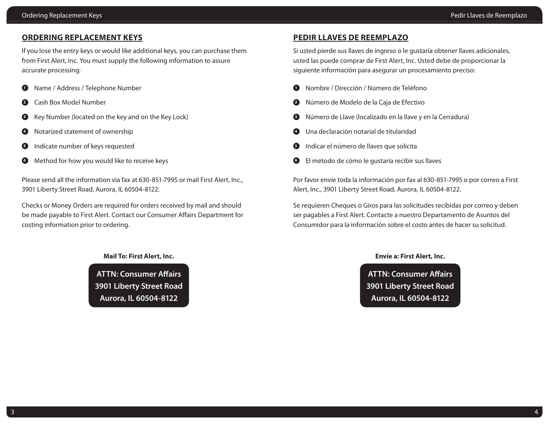#### **ORDERING REPLACEMENT KEYS**

If you lose the entry keys or would like additional keys, you can purchase them from First Alert, Inc. You must supply the following information to assure accurate processing:

- **1** Name / Address / Telephone Number
- **<sup>2</sup>** Cash Box Model Number
- **<sup>3</sup>** Key Number (located on the key and on the Key Lock)
- **4** Notarized statement of ownership
- **5** Indicate number of keys requested
- **6** Method for how you would like to receive keys

Please send all the information via fax at 630-851-7995 or mail First Alert, Inc., 3901 Liberty Street Road, Aurora, IL 60504-8122.

Checks or Money Orders are required for orders received by mail and should be made payable to First Alert. Contact our Consumer Affairs Department for costing information prior to ordering.

**Mail To: First Alert, Inc.**

**ATTN: Consumer Affairs 3901 Liberty Street Road Aurora, IL 60504-8122**

### **PEDIR LLAVES DE REEMPLAZO**

Si usted pierde sus llaves de ingreso o le gustaría obtener llaves adicionales, usted las puede comprar de First Alert, Inc. Usted debe de proporcionar la siguiente información para asegurar un procesamiento preciso:

- **<sup>1</sup>** Nombre / Dirección / Número de Teléfono
- **<sup>2</sup>** Número de Modelo de la Caja de Efectivo
- **<sup>3</sup>** Número de Llave (localizado en la llave y en la Cerradura)
- **<sup>4</sup>** Una declaración notarial de titularidad
- **5** Indicar el número de llaves que solicita
- **<sup>6</sup>** El método de cómo le gustaría recibir sus llaves

Por favor envíe toda la información por fax al 630-851-7995 o por correo a First Alert, Inc., 3901 Liberty Street Road, Aurora, IL 60504-8122.

Se requieren Cheques o Giros para las solicitudes recibidas por correo y deben ser pagables a First Alert. Contacte a nuestro Departamento de Asuntos del Consumidor para la información sobre el costo antes de hacer su solicitud.

#### **Envíe a: First Alert, Inc.**

**ATTN: Consumer Affairs 3901 Liberty Street Road Aurora, IL 60504-8122**